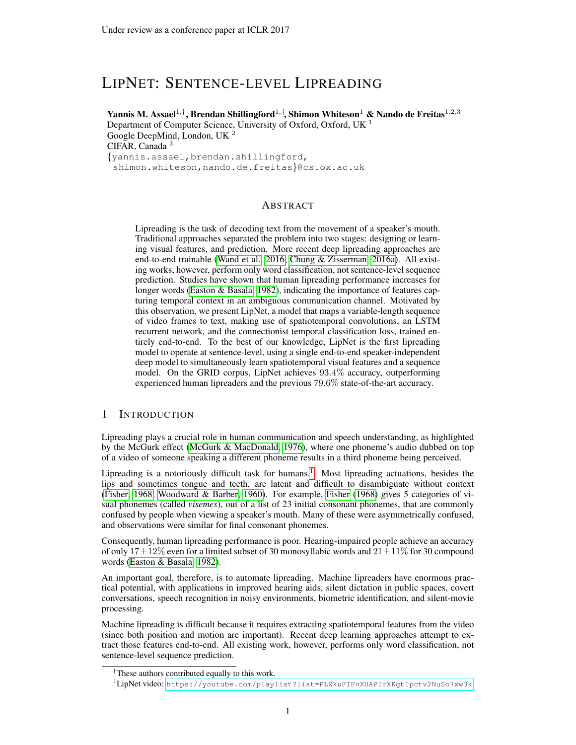# LIPNET: SENTENCE-LEVEL LIPREADING

Yannis M. Assael $^{1,\dagger}$ , Brendan Shillingford $^{1,\dagger}$ , Shimon Whiteson $^1$  & Nando de Freitas $^{1,2,3}$ 

Department of Computer Science, University of Oxford, Oxford, UK<sup>1</sup> Google DeepMind, London, UK <sup>2</sup> CIFAR, Canada<sup>3</sup> {yannis.assael,brendan.shillingford,

shimon.whiteson,nando.de.freitas}@cs.ox.ac.uk

## ABSTRACT

Lipreading is the task of decoding text from the movement of a speaker's mouth. Traditional approaches separated the problem into two stages: designing or learning visual features, and prediction. More recent deep lipreading approaches are end-to-end trainable [\(Wand et al., 2016;](#page-9-0) [Chung & Zisserman, 2016a\)](#page-8-0). All existing works, however, perform only word classification, not sentence-level sequence prediction. Studies have shown that human lipreading performance increases for longer words [\(Easton & Basala, 1982\)](#page-8-1), indicating the importance of features capturing temporal context in an ambiguous communication channel. Motivated by this observation, we present LipNet, a model that maps a variable-length sequence of video frames to text, making use of spatiotemporal convolutions, an LSTM recurrent network, and the connectionist temporal classification loss, trained entirely end-to-end. To the best of our knowledge, LipNet is the first lipreading model to operate at sentence-level, using a single end-to-end speaker-independent deep model to simultaneously learn spatiotemporal visual features and a sequence model. On the GRID corpus, LipNet achieves 93.4% accuracy, outperforming experienced human lipreaders and the previous 79.6% state-of-the-art accuracy.

# 1 INTRODUCTION

Lipreading plays a crucial role in human communication and speech understanding, as highlighted by the McGurk effect [\(McGurk & MacDonald, 1976\)](#page-9-1), where one phoneme's audio dubbed on top of a video of someone speaking a different phoneme results in a third phoneme being perceived.

Lipreading is a notoriously difficult task for humans.<sup>[1](#page-0-0)</sup> Most lipreading actuations, besides the lips and sometimes tongue and teeth, are latent and difficult to disambiguate without context [\(Fisher, 1968;](#page-8-2) [Woodward & Barber, 1960\)](#page-9-2). For example, [Fisher](#page-8-2) [\(1968\)](#page-8-2) gives 5 categories of visual phonemes (called *visemes*), out of a list of 23 initial consonant phonemes, that are commonly confused by people when viewing a speaker's mouth. Many of these were asymmetrically confused, and observations were similar for final consonant phonemes.

Consequently, human lipreading performance is poor. Hearing-impaired people achieve an accuracy of only  $17\pm12\%$  even for a limited subset of 30 monosyllabic words and  $21\pm11\%$  for 30 compound words [\(Easton & Basala, 1982\)](#page-8-1).

An important goal, therefore, is to automate lipreading. Machine lipreaders have enormous practical potential, with applications in improved hearing aids, silent dictation in public spaces, covert conversations, speech recognition in noisy environments, biometric identification, and silent-movie processing.

Machine lipreading is difficult because it requires extracting spatiotemporal features from the video (since both position and motion are important). Recent deep learning approaches attempt to extract those features end-to-end. All existing work, however, performs only word classification, not sentence-level sequence prediction.

<sup>†</sup>These authors contributed equally to this work.

<span id="page-0-0"></span><sup>1</sup>LipNet video: <https://youtube.com/playlist?list=PLXkuFIFnXUAPIrXKgtIpctv2NuSo7xw3k>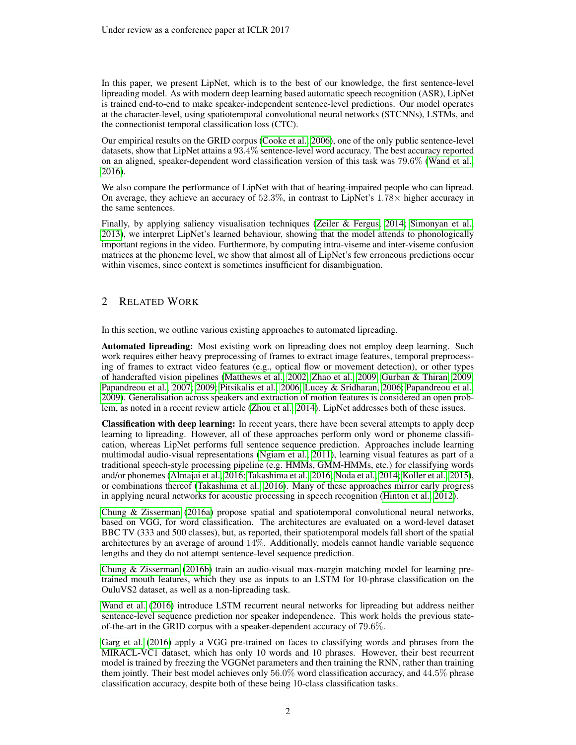In this paper, we present LipNet, which is to the best of our knowledge, the first sentence-level lipreading model. As with modern deep learning based automatic speech recognition (ASR), LipNet is trained end-to-end to make speaker-independent sentence-level predictions. Our model operates at the character-level, using spatiotemporal convolutional neural networks (STCNNs), LSTMs, and the connectionist temporal classification loss (CTC).

Our empirical results on the GRID corpus [\(Cooke et al., 2006\)](#page-8-3), one of the only public sentence-level datasets, show that LipNet attains a 93.4% sentence-level word accuracy. The best accuracy reported on an aligned, speaker-dependent word classification version of this task was 79.6% [\(Wand et al.,](#page-9-0) [2016\)](#page-9-0).

We also compare the performance of LipNet with that of hearing-impaired people who can lipread. On average, they achieve an accuracy of  $52.3\%$ , in contrast to LipNet's  $1.78\times$  higher accuracy in the same sentences.

Finally, by applying saliency visualisation techniques [\(Zeiler & Fergus, 2014;](#page-9-3) [Simonyan et al.,](#page-9-4) [2013\)](#page-9-4), we interpret LipNet's learned behaviour, showing that the model attends to phonologically important regions in the video. Furthermore, by computing intra-viseme and inter-viseme confusion matrices at the phoneme level, we show that almost all of LipNet's few erroneous predictions occur within visemes, since context is sometimes insufficient for disambiguation.

# 2 RELATED WORK

In this section, we outline various existing approaches to automated lipreading.

Automated lipreading: Most existing work on lipreading does not employ deep learning. Such work requires either heavy preprocessing of frames to extract image features, temporal preprocessing of frames to extract video features (e.g., optical flow or movement detection), or other types of handcrafted vision pipelines [\(Matthews et al., 2002;](#page-9-5) [Zhao et al., 2009;](#page-9-6) [Gurban & Thiran, 2009;](#page-8-4) [Papandreou et al., 2007;](#page-9-7) [2009;](#page-9-8) [Pitsikalis et al., 2006;](#page-9-9) [Lucey & Sridharan, 2006;](#page-9-10) [Papandreou et al.,](#page-9-8) [2009\)](#page-9-8). Generalisation across speakers and extraction of motion features is considered an open problem, as noted in a recent review article [\(Zhou et al., 2014\)](#page-9-11). LipNet addresses both of these issues.

Classification with deep learning: In recent years, there have been several attempts to apply deep learning to lipreading. However, all of these approaches perform only word or phoneme classification, whereas LipNet performs full sentence sequence prediction. Approaches include learning multimodal audio-visual representations [\(Ngiam et al., 2011\)](#page-9-12), learning visual features as part of a traditional speech-style processing pipeline (e.g. HMMs, GMM-HMMs, etc.) for classifying words and/or phonemes [\(Almajai et al., 2016;](#page-8-5) [Takashima et al., 2016;](#page-9-13) [Noda et al., 2014;](#page-9-14) [Koller et al., 2015\)](#page-9-15), or combinations thereof [\(Takashima et al., 2016\)](#page-9-13). Many of these approaches mirror early progress in applying neural networks for acoustic processing in speech recognition [\(Hinton et al., 2012\)](#page-8-6).

[Chung & Zisserman](#page-8-0) [\(2016a\)](#page-8-0) propose spatial and spatiotemporal convolutional neural networks, based on VGG, for word classification. The architectures are evaluated on a word-level dataset BBC TV (333 and 500 classes), but, as reported, their spatiotemporal models fall short of the spatial architectures by an average of around 14%. Additionally, models cannot handle variable sequence lengths and they do not attempt sentence-level sequence prediction.

[Chung & Zisserman](#page-8-7) [\(2016b\)](#page-8-7) train an audio-visual max-margin matching model for learning pretrained mouth features, which they use as inputs to an LSTM for 10-phrase classification on the OuluVS2 dataset, as well as a non-lipreading task.

[Wand et al.](#page-9-0) [\(2016\)](#page-9-0) introduce LSTM recurrent neural networks for lipreading but address neither sentence-level sequence prediction nor speaker independence. This work holds the previous stateof-the-art in the GRID corpus with a speaker-dependent accuracy of 79.6%.

[Garg et al.](#page-8-8) [\(2016\)](#page-8-8) apply a VGG pre-trained on faces to classifying words and phrases from the MIRACL-VC1 dataset, which has only 10 words and 10 phrases. However, their best recurrent model is trained by freezing the VGGNet parameters and then training the RNN, rather than training them jointly. Their best model achieves only 56.0% word classification accuracy, and 44.5% phrase classification accuracy, despite both of these being 10-class classification tasks.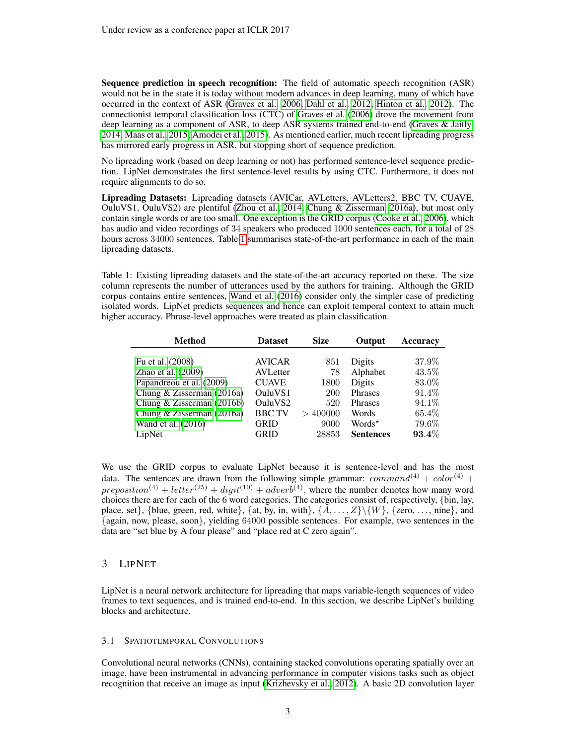Sequence prediction in speech recognition: The field of automatic speech recognition (ASR) would not be in the state it is today without modern advances in deep learning, many of which have occurred in the context of ASR [\(Graves et al., 2006;](#page-8-9) [Dahl et al., 2012;](#page-8-10) [Hinton et al., 2012\)](#page-8-6). The connectionist temporal classification loss (CTC) of [Graves et al.](#page-8-9) [\(2006\)](#page-8-9) drove the movement from deep learning as a component of ASR, to deep ASR systems trained end-to-end [\(Graves & Jaitly,](#page-8-11) [2014;](#page-8-11) [Maas et al., 2015;](#page-9-16) [Amodei et al., 2015\)](#page-8-12). As mentioned earlier, much recent lipreading progress has mirrored early progress in ASR, but stopping short of sequence prediction.

No lipreading work (based on deep learning or not) has performed sentence-level sequence prediction. LipNet demonstrates the first sentence-level results by using CTC. Furthermore, it does not require alignments to do so.

Lipreading Datasets: Lipreading datasets (AVICar, AVLetters, AVLetters2, BBC TV, CUAVE, OuluVS1, OuluVS2) are plentiful [\(Zhou et al., 2014;](#page-9-11) [Chung & Zisserman, 2016a\)](#page-8-0), but most only contain single words or are too small. One exception is the GRID corpus [\(Cooke et al., 2006\)](#page-8-3), which has audio and video recordings of 34 speakers who produced 1000 sentences each, for a total of 28 hours across 34000 sentences. Table [1](#page-2-0) summarises state-of-the-art performance in each of the main lipreading datasets.

<span id="page-2-0"></span>Table 1: Existing lipreading datasets and the state-of-the-art accuracy reported on these. The size column represents the number of utterances used by the authors for training. Although the GRID corpus contains entire sentences, [Wand et al.](#page-9-0) [\(2016\)](#page-9-0) consider only the simpler case of predicting isolated words. LipNet predicts sequences and hence can exploit temporal context to attain much higher accuracy. Phrase-level approaches were treated as plain classification.

| <b>Method</b>               | <b>Dataset</b>  | <b>Size</b> | Output             | <b>Accuracy</b> |
|-----------------------------|-----------------|-------------|--------------------|-----------------|
|                             |                 |             |                    |                 |
| Fu et al. (2008)            | <b>AVICAR</b>   | 851         | Digits             | 37.9%           |
| Zhao et al. $(2009)$        | <b>AVLetter</b> | 78          | Alphabet           | 43.5%           |
| Papandreou et al. (2009)    | <b>CUAVE</b>    | 1800        | Digits             | 83.0%           |
| Chung & Zisserman $(2016a)$ | OuluVS1         | <b>200</b>  | Phrases            | 91.4\%          |
| Chung & Zisserman $(2016b)$ | OuluVS2         | 520         | <b>Phrases</b>     | 94.1\%          |
| Chung & Zisserman $(2016a)$ | <b>BBC TV</b>   | >400000     | Words              | 65.4%           |
| Wand et al. (2016)          | <b>GRID</b>     | 9000        | Words <sup>*</sup> | 79.6%           |
| LipNet                      | GRID            | 28853       | <b>Sentences</b>   | $93.4\%$        |

We use the GRID corpus to evaluate LipNet because it is sentence-level and has the most data. The sentences are drawn from the following simple grammar: command<sup>(4)</sup> + color<sup>(4)</sup> +  $preposition^{(4)} + letter^{(25)} + digit^{(10)} + adverb^{(4)}$ , where the number denotes how many word choices there are for each of the 6 word categories. The categories consist of, respectively, {bin, lay, place, set}, {blue, green, red, white}, {at, by, in, with}, { $A, \ldots, Z\}\{W\}$ , {zero, ..., nine}, and {again, now, please, soon}, yielding 64000 possible sentences. For example, two sentences in the data are "set blue by A four please" and "place red at C zero again".

# 3 LIPNET

LipNet is a neural network architecture for lipreading that maps variable-length sequences of video frames to text sequences, and is trained end-to-end. In this section, we describe LipNet's building blocks and architecture.

#### 3.1 SPATIOTEMPORAL CONVOLUTIONS

Convolutional neural networks (CNNs), containing stacked convolutions operating spatially over an image, have been instrumental in advancing performance in computer visions tasks such as object recognition that receive an image as input [\(Krizhevsky et al., 2012\)](#page-9-17). A basic 2D convolution layer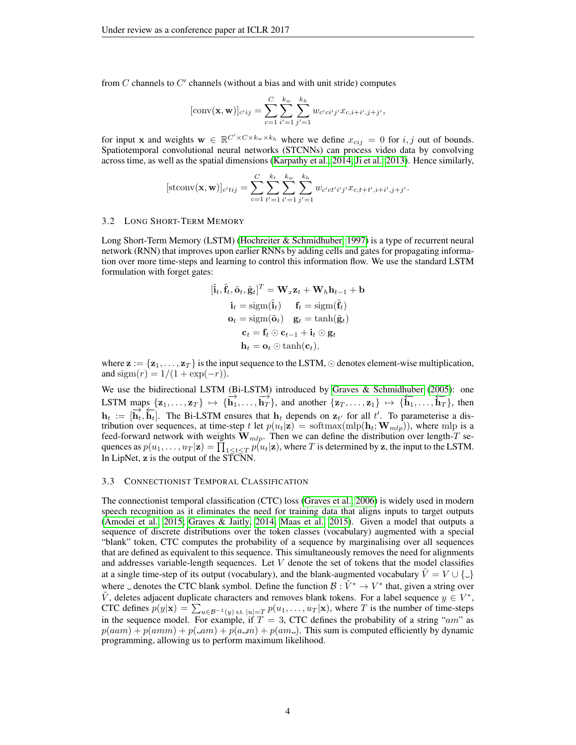from  $C$  channels to  $C'$  channels (without a bias and with unit stride) computes

[conv(**x**, **w**)]<sub>c'ij</sub> = 
$$
\sum_{c=1}^{C} \sum_{i'=1}^{k_w} \sum_{j'=1}^{k_h} w_{c'ci'j'} x_{c,i+i',j+j'},
$$

for input x and weights  $\mathbf{w} \in \mathbb{R}^{C' \times C \times k_w \times k_h}$  where we define  $x_{cij} = 0$  for  $i, j$  out of bounds. Spatiotemporal convolutional neural networks (STCNNs) can process video data by convolving across time, as well as the spatial dimensions [\(Karpathy et al., 2014;](#page-8-14) [Ji et al., 2013\)](#page-8-15). Hence similarly,

$$
[\text{stconv}(\mathbf{x}, \mathbf{w})]_{c'tij} = \sum_{c=1}^{C} \sum_{t'=1}^{k_t} \sum_{i'=1}^{k_w} \sum_{j'=1}^{k_h} w_{c'ct'i'j'} x_{c,t+t', i+i', j+j'}.
$$

#### <span id="page-3-0"></span>3.2 LONG SHORT-TERM MEMORY

Long Short-Term Memory (LSTM) [\(Hochreiter & Schmidhuber, 1997\)](#page-8-16) is a type of recurrent neural network (RNN) that improves upon earlier RNNs by adding cells and gates for propagating information over more time-steps and learning to control this information flow. We use the standard LSTM formulation with forget gates:

$$
[\tilde{\mathbf{i}}_t, \tilde{\mathbf{f}}_t, \tilde{\mathbf{o}}_t, \tilde{\mathbf{g}}_t]^T = \mathbf{W}_x \mathbf{z}_t + \mathbf{W}_h \mathbf{h}_{t-1} + \mathbf{b}
$$
  
\n
$$
\mathbf{i}_t = \text{sigm}(\tilde{\mathbf{i}}_t) \quad \mathbf{f}_t = \text{sigm}(\tilde{\mathbf{f}}_t)
$$
  
\n
$$
\mathbf{o}_t = \text{sigm}(\tilde{\mathbf{o}}_t) \quad \mathbf{g}_t = \tanh(\tilde{\mathbf{g}}_t)
$$
  
\n
$$
\mathbf{c}_t = \mathbf{f}_t \odot \mathbf{c}_{t-1} + \mathbf{i}_t \odot \mathbf{g}_t
$$
  
\n
$$
\mathbf{h}_t = \mathbf{o}_t \odot \tanh(\mathbf{c}_t),
$$

where  $\mathbf{z} := {\mathbf{z}_1, \ldots, \mathbf{z}_T}$  is the input sequence to the LSTM,  $\odot$  denotes element-wise multiplication, and sigm(r) =  $1/(1 + \exp(-r))$ .

We use the bidirectional LSTM (Bi-LSTM) introduced by [Graves & Schmidhuber](#page-8-17) [\(2005\)](#page-8-17): one LSTM maps  $\{z_1, \ldots, z_T\} \mapsto \{\overrightarrow{h_1}, \ldots, \overrightarrow{h_T}\}$ , and another  $\{z_T, \ldots, z_1\} \mapsto \{\overleftarrow{h_1}, \ldots, \overleftarrow{h_T}\}$ , then  $h_t := [\overrightarrow{h}_t, \overleftarrow{h}_t]$ . The Bi-LSTM ensures that  $h_t$  depends on  $z_{t'}$  for all  $t'$ . To parameterise a distribution over sequences, at time-step t let  $p(u_t|\mathbf{z}) = \text{softmax}(\text{mlp}(\mathbf{h}_t; \mathbf{W}_{mlp}))$ , where mlp is a feed-forward network with weights  $\mathbf{\hat{W}}_{mlp}$ . Then we can define the distribution over length-T sequences as  $p(u_1,\ldots,u_T|\mathbf{z})=\prod_{1\leq t\leq T}p(u_t|\mathbf{z}),$  where  $T$  is determined by  $\mathbf{z},$  the input to the LSTM. In LipNet, z is the output of the STCNN.

#### <span id="page-3-1"></span>3.3 CONNECTIONIST TEMPORAL CLASSIFICATION

The connectionist temporal classification (CTC) loss [\(Graves et al., 2006\)](#page-8-9) is widely used in modern speech recognition as it eliminates the need for training data that aligns inputs to target outputs [\(Amodei et al., 2015;](#page-8-12) [Graves & Jaitly, 2014;](#page-8-11) [Maas et al., 2015\)](#page-9-16). Given a model that outputs a sequence of discrete distributions over the token classes (vocabulary) augmented with a special "blank" token, CTC computes the probability of a sequence by marginalising over all sequences that are defined as equivalent to this sequence. This simultaneously removes the need for alignments and addresses variable-length sequences. Let  $V$  denote the set of tokens that the model classifies at a single time-step of its output (vocabulary), and the blank-augmented vocabulary  $\tilde{V} = V \cup \{\_ \}$ where  $\Box$  denotes the CTC blank symbol. Define the function  $\mathcal{B}: \tilde{V}^* \to V^*$  that, given a string over  $\tilde{V}$ , deletes adjacent duplicate characters and removes blank tokens. For a label sequence  $y \in V^*$ , CTC defines  $p(y|\mathbf{x}) = \sum_{u \in \mathcal{B}^{-1}(y) \text{ s.t. } |u| = T} p(u_1, \dots, u_T|\mathbf{x})$ , where T is the number of time-steps in the sequence model. For example, if  $T = 3$ , CTC defines the probability of a string "am" as  $p(aam) + p(amm) + p(\Box m) + p(a\Box m) + p(am\Box)$ . This sum is computed efficiently by dynamic programming, allowing us to perform maximum likelihood.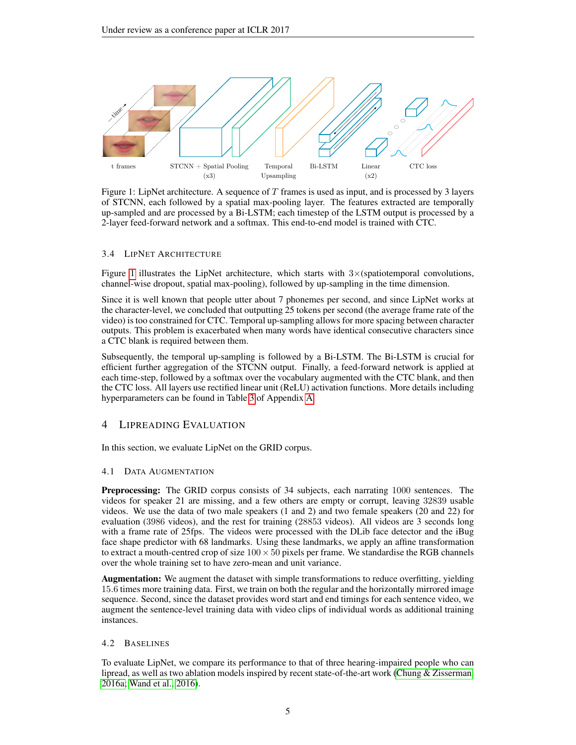<span id="page-4-0"></span>

Figure 1: LipNet architecture. A sequence of  $T$  frames is used as input, and is processed by 3 layers of STCNN, each followed by a spatial max-pooling layer. The features extracted are temporally up-sampled and are processed by a Bi-LSTM; each timestep of the LSTM output is processed by a 2-layer feed-forward network and a softmax. This end-to-end model is trained with CTC.

### 3.4 LIPNET ARCHITECTURE

Figure [1](#page-4-0) illustrates the LipNet architecture, which starts with  $3\times$ (spatiotemporal convolutions, channel-wise dropout, spatial max-pooling), followed by up-sampling in the time dimension.

Since it is well known that people utter about 7 phonemes per second, and since LipNet works at the character-level, we concluded that outputting 25 tokens per second (the average frame rate of the video) is too constrained for CTC. Temporal up-sampling allows for more spacing between character outputs. This problem is exacerbated when many words have identical consecutive characters since a CTC blank is required between them.

Subsequently, the temporal up-sampling is followed by a Bi-LSTM. The Bi-LSTM is crucial for efficient further aggregation of the STCNN output. Finally, a feed-forward network is applied at each time-step, followed by a softmax over the vocabulary augmented with the CTC blank, and then the CTC loss. All layers use rectified linear unit (ReLU) activation functions. More details including hyperparameters can be found in Table [3](#page-10-0) of Appendix [A.](#page-10-1)

# 4 LIPREADING EVALUATION

In this section, we evaluate LipNet on the GRID corpus.

## 4.1 DATA AUGMENTATION

Preprocessing: The GRID corpus consists of 34 subjects, each narrating 1000 sentences. The videos for speaker 21 are missing, and a few others are empty or corrupt, leaving 32839 usable videos. We use the data of two male speakers (1 and 2) and two female speakers (20 and 22) for evaluation (3986 videos), and the rest for training (28853 videos). All videos are 3 seconds long with a frame rate of 25fps. The videos were processed with the DLib face detector and the iBug face shape predictor with 68 landmarks. Using these landmarks, we apply an affine transformation to extract a mouth-centred crop of size  $100 \times 50$  pixels per frame. We standardise the RGB channels over the whole training set to have zero-mean and unit variance.

Augmentation: We augment the dataset with simple transformations to reduce overfitting, yielding 15.6 times more training data. First, we train on both the regular and the horizontally mirrored image sequence. Second, since the dataset provides word start and end timings for each sentence video, we augment the sentence-level training data with video clips of individual words as additional training instances.

#### 4.2 BASELINES

To evaluate LipNet, we compare its performance to that of three hearing-impaired people who can lipread, as well as two ablation models inspired by recent state-of-the-art work [\(Chung & Zisserman,](#page-8-0) [2016a;](#page-8-0) [Wand et al., 2016\)](#page-9-0).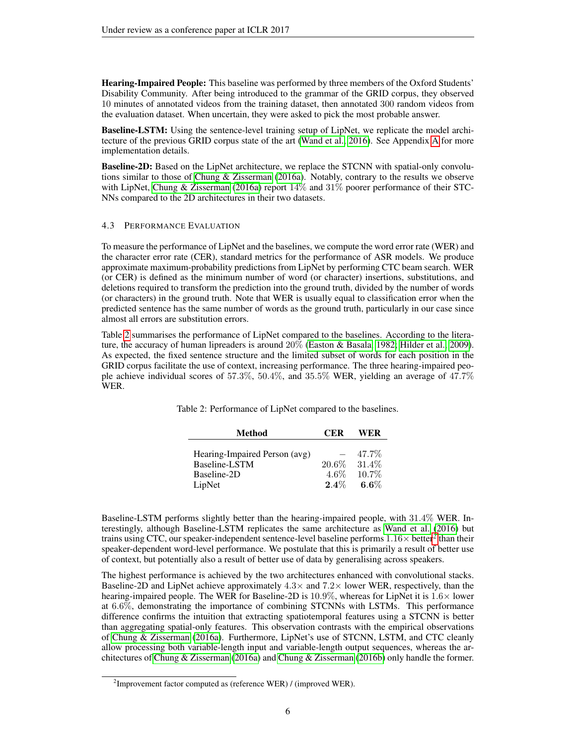Hearing-Impaired People: This baseline was performed by three members of the Oxford Students' Disability Community. After being introduced to the grammar of the GRID corpus, they observed 10 minutes of annotated videos from the training dataset, then annotated 300 random videos from the evaluation dataset. When uncertain, they were asked to pick the most probable answer.

Baseline-LSTM: Using the sentence-level training setup of LipNet, we replicate the model architecture of the previous GRID corpus state of the art [\(Wand et al., 2016\)](#page-9-0). See Appendix [A](#page-10-1) for more implementation details.

Baseline-2D: Based on the LipNet architecture, we replace the STCNN with spatial-only convolutions similar to those of [Chung & Zisserman](#page-8-0) [\(2016a\)](#page-8-0). Notably, contrary to the results we observe with LipNet, [Chung & Zisserman](#page-8-0) [\(2016a\)](#page-8-0) report  $14\%$  and  $31\%$  poorer performance of their STC-NNs compared to the 2D architectures in their two datasets.

### 4.3 PERFORMANCE EVALUATION

To measure the performance of LipNet and the baselines, we compute the word error rate (WER) and the character error rate (CER), standard metrics for the performance of ASR models. We produce approximate maximum-probability predictions from LipNet by performing CTC beam search. WER (or CER) is defined as the minimum number of word (or character) insertions, substitutions, and deletions required to transform the prediction into the ground truth, divided by the number of words (or characters) in the ground truth. Note that WER is usually equal to classification error when the predicted sentence has the same number of words as the ground truth, particularly in our case since almost all errors are substitution errors.

<span id="page-5-0"></span>Table [2](#page-5-0) summarises the performance of LipNet compared to the baselines. According to the literature, the accuracy of human lipreaders is around 20% [\(Easton & Basala, 1982;](#page-8-1) [Hilder et al., 2009\)](#page-8-18). As expected, the fixed sentence structure and the limited subset of words for each position in the GRID corpus facilitate the use of context, increasing performance. The three hearing-impaired people achieve individual scores of 57.3%, 50.4%, and 35.5% WER, yielding an average of 47.7% WER.

| <b>Method</b>                 | CER     | WER      |
|-------------------------------|---------|----------|
|                               |         |          |
| Hearing-Impaired Person (avg) |         | 47.7%    |
| Baseline-LSTM                 | 20.6%   | 31.4\%   |
| Baseline-2D                   | $4.6\%$ | $10.7\%$ |
| LipNet                        | $2.4\%$ | $6.6\%$  |

| Table 2: Performance of LipNet compared to the baselines. |  |
|-----------------------------------------------------------|--|
|-----------------------------------------------------------|--|

Baseline-LSTM performs slightly better than the hearing-impaired people, with 31.4% WER. Interestingly, although Baseline-LSTM replicates the same architecture as [Wand et al.](#page-9-0) [\(2016\)](#page-9-0) but trains using CTC, our speaker-independent sentence-level baseline performs  $1.16\times$  better<sup>[2](#page-5-1)</sup> than their speaker-dependent word-level performance. We postulate that this is primarily a result of better use of context, but potentially also a result of better use of data by generalising across speakers.

The highest performance is achieved by the two architectures enhanced with convolutional stacks. Baseline-2D and LipNet achieve approximately  $4.3\times$  and  $7.2\times$  lower WER, respectively, than the hearing-impaired people. The WER for Baseline-2D is  $10.9\%$ , whereas for LipNet it is  $1.6\times$  lower at 6.6%, demonstrating the importance of combining STCNNs with LSTMs. This performance difference confirms the intuition that extracting spatiotemporal features using a STCNN is better than aggregating spatial-only features. This observation contrasts with the empirical observations of [Chung & Zisserman](#page-8-0) [\(2016a\)](#page-8-0). Furthermore, LipNet's use of STCNN, LSTM, and CTC cleanly allow processing both variable-length input and variable-length output sequences, whereas the architectures of [Chung & Zisserman](#page-8-0) [\(2016a\)](#page-8-0) and [Chung & Zisserman](#page-8-7) [\(2016b\)](#page-8-7) only handle the former.

<span id="page-5-1"></span> $2$ Improvement factor computed as (reference WER) / (improved WER).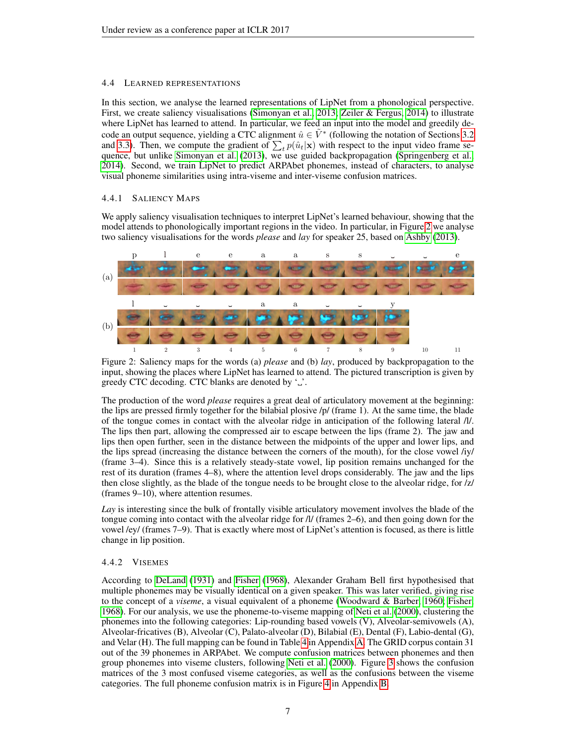## 4.4 LEARNED REPRESENTATIONS

In this section, we analyse the learned representations of LipNet from a phonological perspective. First, we create saliency visualisations [\(Simonyan et al., 2013;](#page-9-4) [Zeiler & Fergus, 2014\)](#page-9-3) to illustrate where LipNet has learned to attend. In particular, we feed an input into the model and greedily decode an output sequence, yielding a CTC alignment  $\hat{u} \in \tilde{V}^*$  (following the notation of Sections [3.2](#page-3-0)) and [3.3\)](#page-3-1). Then, we compute the gradient of  $\sum_t p(\hat{u}_t|\mathbf{x})$  with respect to the input video frame sequence, but unlike [Simonyan et al.](#page-9-4) [\(2013\)](#page-9-4), we use guided backpropagation [\(Springenberg et al.,](#page-9-18) [2014\)](#page-9-18). Second, we train LipNet to predict ARPAbet phonemes, instead of characters, to analyse visual phoneme similarities using intra-viseme and inter-viseme confusion matrices.

## 4.4.1 SALIENCY MAPS

We apply saliency visualisation techniques to interpret LipNet's learned behaviour, showing that the model attends to phonologically important regions in the video. In particular, in Figure [2](#page-6-0) we analyse two saliency visualisations for the words *please* and *lay* for speaker 25, based on [Ashby](#page-8-19) [\(2013\)](#page-8-19).

<span id="page-6-0"></span>

Figure 2: Saliency maps for the words (a) *please* and (b) *lay*, produced by backpropagation to the input, showing the places where LipNet has learned to attend. The pictured transcription is given by greedy CTC decoding. CTC blanks are denoted by  $\cdot$ ...

The production of the word *please* requires a great deal of articulatory movement at the beginning: the lips are pressed firmly together for the bilabial plosive /p/ (frame 1). At the same time, the blade of the tongue comes in contact with the alveolar ridge in anticipation of the following lateral /l/. The lips then part, allowing the compressed air to escape between the lips (frame 2). The jaw and lips then open further, seen in the distance between the midpoints of the upper and lower lips, and the lips spread (increasing the distance between the corners of the mouth), for the close vowel /iy/ (frame 3–4). Since this is a relatively steady-state vowel, lip position remains unchanged for the rest of its duration (frames 4–8), where the attention level drops considerably. The jaw and the lips then close slightly, as the blade of the tongue needs to be brought close to the alveolar ridge, for /z/ (frames 9–10), where attention resumes.

*Lay* is interesting since the bulk of frontally visible articulatory movement involves the blade of the tongue coming into contact with the alveolar ridge for /l/ (frames 2–6), and then going down for the vowel /ey/ (frames 7–9). That is exactly where most of LipNet's attention is focused, as there is little change in lip position.

## 4.4.2 VISEMES

According to [DeLand](#page-8-20) [\(1931\)](#page-8-20) and [Fisher](#page-8-2) [\(1968\)](#page-8-2), Alexander Graham Bell first hypothesised that multiple phonemes may be visually identical on a given speaker. This was later verified, giving rise to the concept of a *viseme*, a visual equivalent of a phoneme [\(Woodward & Barber, 1960;](#page-9-2) [Fisher,](#page-8-2) [1968\)](#page-8-2). For our analysis, we use the phoneme-to-viseme mapping of [Neti et al.](#page-9-19) [\(2000\)](#page-9-19), clustering the phonemes into the following categories: Lip-rounding based vowels (V), Alveolar-semivowels (A), Alveolar-fricatives (B), Alveolar (C), Palato-alveolar (D), Bilabial (E), Dental (F), Labio-dental (G), and Velar (H). The full mapping can be found in Table [4](#page-11-0) in Appendix [A.](#page-10-1) The GRID corpus contain 31 out of the 39 phonemes in ARPAbet. We compute confusion matrices between phonemes and then group phonemes into viseme clusters, following [Neti et al.](#page-9-19) [\(2000\)](#page-9-19). Figure [3](#page-7-0) shows the confusion matrices of the 3 most confused viseme categories, as well as the confusions between the viseme categories. The full phoneme confusion matrix is in Figure [4](#page-11-1) in Appendix [B.](#page-11-2)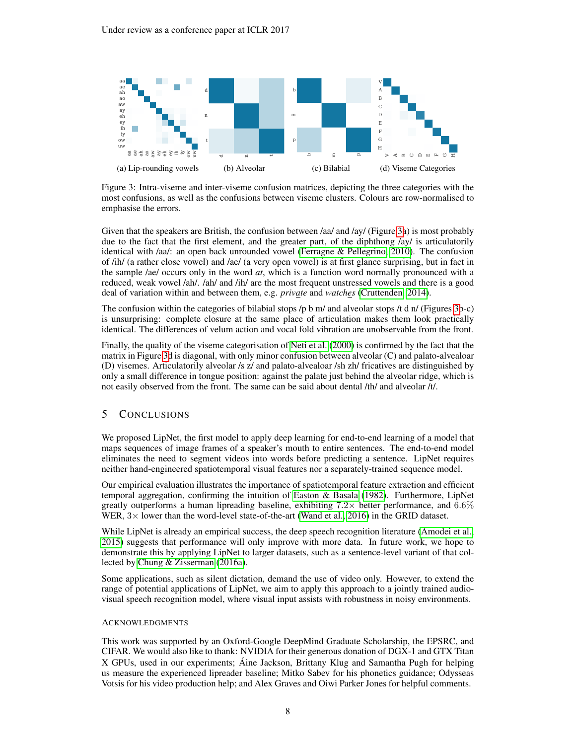<span id="page-7-0"></span>

Figure 3: Intra-viseme and inter-viseme confusion matrices, depicting the three categories with the most confusions, as well as the confusions between viseme clusters. Colours are row-normalised to emphasise the errors.

Given that the speakers are British, the confusion between /aa/ and /ay/ (Figure [3a](#page-7-0)) is most probably due to the fact that the first element, and the greater part, of the diphthong /ay/ is articulatorily identical with /aa/: an open back unrounded vowel [\(Ferragne & Pellegrino, 2010\)](#page-8-21). The confusion of /ih/ (a rather close vowel) and /ae/ (a very open vowel) is at first glance surprising, but in fact in the sample /ae/ occurs only in the word *at*, which is a function word normally pronounced with a reduced, weak vowel /ah/. /ah/ and /ih/ are the most frequent unstressed vowels and there is a good deal of variation within and between them, e.g. *private* and *watches* [\(Cruttenden, 2014\)](#page-8-22).

The confusion within the categories of bilabial stops  $/p$  b m/ and alveolar stops  $/t$  d n/ (Figures [3b](#page-7-0)-c) is unsurprising: complete closure at the same place of articulation makes them look practically identical. The differences of velum action and vocal fold vibration are unobservable from the front.

Finally, the quality of the viseme categorisation of [Neti et al.](#page-9-19) [\(2000\)](#page-9-19) is confirmed by the fact that the matrix in Figure [3d](#page-7-0) is diagonal, with only minor confusion between alveolar (C) and palato-alvealoar (D) visemes. Articulatorily alveolar /s z/ and palato-alvealoar /sh zh/ fricatives are distinguished by only a small difference in tongue position: against the palate just behind the alveolar ridge, which is not easily observed from the front. The same can be said about dental /th/ and alveolar /t/.

# 5 CONCLUSIONS

We proposed LipNet, the first model to apply deep learning for end-to-end learning of a model that maps sequences of image frames of a speaker's mouth to entire sentences. The end-to-end model eliminates the need to segment videos into words before predicting a sentence. LipNet requires neither hand-engineered spatiotemporal visual features nor a separately-trained sequence model.

Our empirical evaluation illustrates the importance of spatiotemporal feature extraction and efficient temporal aggregation, confirming the intuition of [Easton & Basala](#page-8-1) [\(1982\)](#page-8-1). Furthermore, LipNet greatly outperforms a human lipreading baseline, exhibiting  $7.2\times$  better performance, and  $6.6\%$ WER,  $3 \times$  lower than the word-level state-of-the-art [\(Wand et al., 2016\)](#page-9-0) in the GRID dataset.

While LipNet is already an empirical success, the deep speech recognition literature [\(Amodei et al.,](#page-8-12) [2015\)](#page-8-12) suggests that performance will only improve with more data. In future work, we hope to demonstrate this by applying LipNet to larger datasets, such as a sentence-level variant of that collected by [Chung & Zisserman](#page-8-0) [\(2016a\)](#page-8-0).

Some applications, such as silent dictation, demand the use of video only. However, to extend the range of potential applications of LipNet, we aim to apply this approach to a jointly trained audiovisual speech recognition model, where visual input assists with robustness in noisy environments.

## ACKNOWLEDGMENTS

This work was supported by an Oxford-Google DeepMind Graduate Scholarship, the EPSRC, and CIFAR. We would also like to thank: NVIDIA for their generous donation of DGX-1 and GTX Titan X GPUs, used in our experiments; Aine Jackson, Brittany Klug and Samantha Pugh for helping ´ us measure the experienced lipreader baseline; Mitko Sabev for his phonetics guidance; Odysseas Votsis for his video production help; and Alex Graves and Oiwi Parker Jones for helpful comments.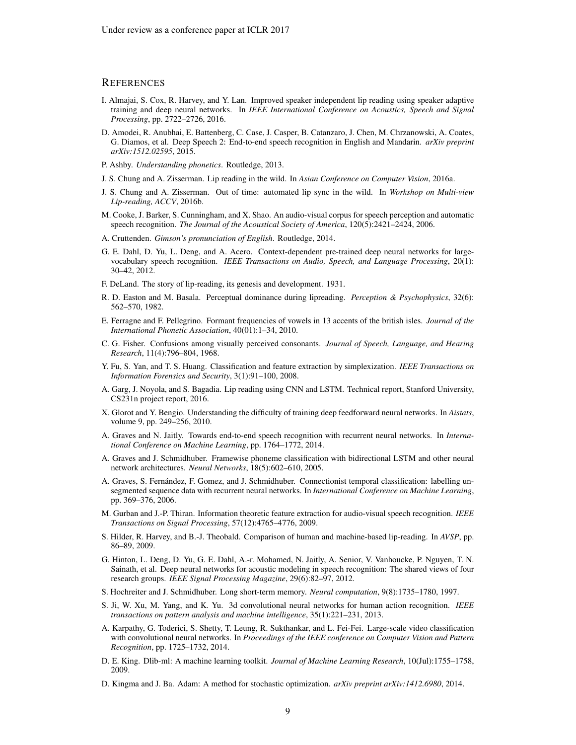## **REFERENCES**

- <span id="page-8-5"></span>I. Almajai, S. Cox, R. Harvey, and Y. Lan. Improved speaker independent lip reading using speaker adaptive training and deep neural networks. In *IEEE International Conference on Acoustics, Speech and Signal Processing*, pp. 2722–2726, 2016.
- <span id="page-8-12"></span>D. Amodei, R. Anubhai, E. Battenberg, C. Case, J. Casper, B. Catanzaro, J. Chen, M. Chrzanowski, A. Coates, G. Diamos, et al. Deep Speech 2: End-to-end speech recognition in English and Mandarin. *arXiv preprint arXiv:1512.02595*, 2015.
- <span id="page-8-19"></span>P. Ashby. *Understanding phonetics*. Routledge, 2013.
- <span id="page-8-0"></span>J. S. Chung and A. Zisserman. Lip reading in the wild. In *Asian Conference on Computer Vision*, 2016a.
- <span id="page-8-7"></span>J. S. Chung and A. Zisserman. Out of time: automated lip sync in the wild. In *Workshop on Multi-view Lip-reading, ACCV*, 2016b.
- <span id="page-8-3"></span>M. Cooke, J. Barker, S. Cunningham, and X. Shao. An audio-visual corpus for speech perception and automatic speech recognition. *The Journal of the Acoustical Society of America*, 120(5):2421–2424, 2006.
- <span id="page-8-22"></span>A. Cruttenden. *Gimson's pronunciation of English*. Routledge, 2014.
- <span id="page-8-10"></span>G. E. Dahl, D. Yu, L. Deng, and A. Acero. Context-dependent pre-trained deep neural networks for largevocabulary speech recognition. *IEEE Transactions on Audio, Speech, and Language Processing*, 20(1): 30–42, 2012.
- <span id="page-8-20"></span>F. DeLand. The story of lip-reading, its genesis and development. 1931.
- <span id="page-8-1"></span>R. D. Easton and M. Basala. Perceptual dominance during lipreading. *Perception & Psychophysics*, 32(6): 562–570, 1982.
- <span id="page-8-21"></span>E. Ferragne and F. Pellegrino. Formant frequencies of vowels in 13 accents of the british isles. *Journal of the International Phonetic Association*, 40(01):1–34, 2010.
- <span id="page-8-2"></span>C. G. Fisher. Confusions among visually perceived consonants. *Journal of Speech, Language, and Hearing Research*, 11(4):796–804, 1968.
- <span id="page-8-13"></span>Y. Fu, S. Yan, and T. S. Huang. Classification and feature extraction by simplexization. *IEEE Transactions on Information Forensics and Security*, 3(1):91–100, 2008.
- <span id="page-8-8"></span>A. Garg, J. Noyola, and S. Bagadia. Lip reading using CNN and LSTM. Technical report, Stanford University, CS231n project report, 2016.
- <span id="page-8-23"></span>X. Glorot and Y. Bengio. Understanding the difficulty of training deep feedforward neural networks. In *Aistats*, volume 9, pp. 249–256, 2010.
- <span id="page-8-11"></span>A. Graves and N. Jaitly. Towards end-to-end speech recognition with recurrent neural networks. In *International Conference on Machine Learning*, pp. 1764–1772, 2014.
- <span id="page-8-17"></span>A. Graves and J. Schmidhuber. Framewise phoneme classification with bidirectional LSTM and other neural network architectures. *Neural Networks*, 18(5):602–610, 2005.
- <span id="page-8-9"></span>A. Graves, S. Fernández, F. Gomez, and J. Schmidhuber. Connectionist temporal classification: labelling unsegmented sequence data with recurrent neural networks. In *International Conference on Machine Learning*, pp. 369–376, 2006.
- <span id="page-8-4"></span>M. Gurban and J.-P. Thiran. Information theoretic feature extraction for audio-visual speech recognition. *IEEE Transactions on Signal Processing*, 57(12):4765–4776, 2009.
- <span id="page-8-18"></span>S. Hilder, R. Harvey, and B.-J. Theobald. Comparison of human and machine-based lip-reading. In *AVSP*, pp. 86–89, 2009.
- <span id="page-8-6"></span>G. Hinton, L. Deng, D. Yu, G. E. Dahl, A.-r. Mohamed, N. Jaitly, A. Senior, V. Vanhoucke, P. Nguyen, T. N. Sainath, et al. Deep neural networks for acoustic modeling in speech recognition: The shared views of four research groups. *IEEE Signal Processing Magazine*, 29(6):82–97, 2012.
- <span id="page-8-16"></span>S. Hochreiter and J. Schmidhuber. Long short-term memory. *Neural computation*, 9(8):1735–1780, 1997.
- <span id="page-8-15"></span>S. Ji, W. Xu, M. Yang, and K. Yu. 3d convolutional neural networks for human action recognition. *IEEE transactions on pattern analysis and machine intelligence*, 35(1):221–231, 2013.
- <span id="page-8-14"></span>A. Karpathy, G. Toderici, S. Shetty, T. Leung, R. Sukthankar, and L. Fei-Fei. Large-scale video classification with convolutional neural networks. In *Proceedings of the IEEE conference on Computer Vision and Pattern Recognition*, pp. 1725–1732, 2014.
- <span id="page-8-25"></span>D. E. King. Dlib-ml: A machine learning toolkit. *Journal of Machine Learning Research*, 10(Jul):1755–1758, 2009.
- <span id="page-8-24"></span>D. Kingma and J. Ba. Adam: A method for stochastic optimization. *arXiv preprint arXiv:1412.6980*, 2014.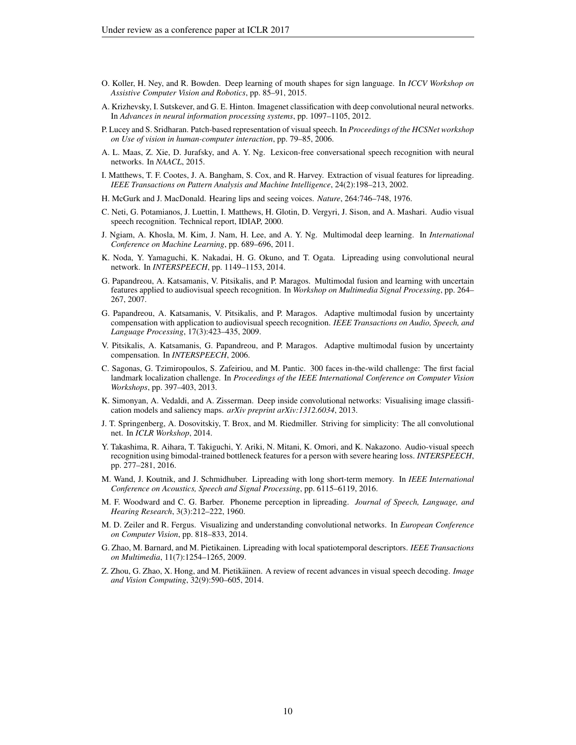- <span id="page-9-15"></span>O. Koller, H. Ney, and R. Bowden. Deep learning of mouth shapes for sign language. In *ICCV Workshop on Assistive Computer Vision and Robotics*, pp. 85–91, 2015.
- <span id="page-9-17"></span>A. Krizhevsky, I. Sutskever, and G. E. Hinton. Imagenet classification with deep convolutional neural networks. In *Advances in neural information processing systems*, pp. 1097–1105, 2012.
- <span id="page-9-10"></span>P. Lucey and S. Sridharan. Patch-based representation of visual speech. In *Proceedings of the HCSNet workshop on Use of vision in human-computer interaction*, pp. 79–85, 2006.
- <span id="page-9-16"></span>A. L. Maas, Z. Xie, D. Jurafsky, and A. Y. Ng. Lexicon-free conversational speech recognition with neural networks. In *NAACL*, 2015.
- <span id="page-9-5"></span>I. Matthews, T. F. Cootes, J. A. Bangham, S. Cox, and R. Harvey. Extraction of visual features for lipreading. *IEEE Transactions on Pattern Analysis and Machine Intelligence*, 24(2):198–213, 2002.
- <span id="page-9-1"></span>H. McGurk and J. MacDonald. Hearing lips and seeing voices. *Nature*, 264:746–748, 1976.
- <span id="page-9-19"></span>C. Neti, G. Potamianos, J. Luettin, I. Matthews, H. Glotin, D. Vergyri, J. Sison, and A. Mashari. Audio visual speech recognition. Technical report, IDIAP, 2000.
- <span id="page-9-12"></span>J. Ngiam, A. Khosla, M. Kim, J. Nam, H. Lee, and A. Y. Ng. Multimodal deep learning. In *International Conference on Machine Learning*, pp. 689–696, 2011.
- <span id="page-9-14"></span>K. Noda, Y. Yamaguchi, K. Nakadai, H. G. Okuno, and T. Ogata. Lipreading using convolutional neural network. In *INTERSPEECH*, pp. 1149–1153, 2014.
- <span id="page-9-7"></span>G. Papandreou, A. Katsamanis, V. Pitsikalis, and P. Maragos. Multimodal fusion and learning with uncertain features applied to audiovisual speech recognition. In *Workshop on Multimedia Signal Processing*, pp. 264– 267, 2007.
- <span id="page-9-8"></span>G. Papandreou, A. Katsamanis, V. Pitsikalis, and P. Maragos. Adaptive multimodal fusion by uncertainty compensation with application to audiovisual speech recognition. *IEEE Transactions on Audio, Speech, and Language Processing*, 17(3):423–435, 2009.
- <span id="page-9-9"></span>V. Pitsikalis, A. Katsamanis, G. Papandreou, and P. Maragos. Adaptive multimodal fusion by uncertainty compensation. In *INTERSPEECH*, 2006.
- <span id="page-9-20"></span>C. Sagonas, G. Tzimiropoulos, S. Zafeiriou, and M. Pantic. 300 faces in-the-wild challenge: The first facial landmark localization challenge. In *Proceedings of the IEEE International Conference on Computer Vision Workshops*, pp. 397–403, 2013.
- <span id="page-9-4"></span>K. Simonyan, A. Vedaldi, and A. Zisserman. Deep inside convolutional networks: Visualising image classification models and saliency maps. *arXiv preprint arXiv:1312.6034*, 2013.
- <span id="page-9-18"></span>J. T. Springenberg, A. Dosovitskiy, T. Brox, and M. Riedmiller. Striving for simplicity: The all convolutional net. In *ICLR Workshop*, 2014.
- <span id="page-9-13"></span>Y. Takashima, R. Aihara, T. Takiguchi, Y. Ariki, N. Mitani, K. Omori, and K. Nakazono. Audio-visual speech recognition using bimodal-trained bottleneck features for a person with severe hearing loss. *INTERSPEECH*, pp. 277–281, 2016.
- <span id="page-9-0"></span>M. Wand, J. Koutnik, and J. Schmidhuber. Lipreading with long short-term memory. In *IEEE International Conference on Acoustics, Speech and Signal Processing*, pp. 6115–6119, 2016.
- <span id="page-9-2"></span>M. F. Woodward and C. G. Barber. Phoneme perception in lipreading. *Journal of Speech, Language, and Hearing Research*, 3(3):212–222, 1960.
- <span id="page-9-3"></span>M. D. Zeiler and R. Fergus. Visualizing and understanding convolutional networks. In *European Conference on Computer Vision*, pp. 818–833, 2014.
- <span id="page-9-6"></span>G. Zhao, M. Barnard, and M. Pietikainen. Lipreading with local spatiotemporal descriptors. *IEEE Transactions on Multimedia*, 11(7):1254–1265, 2009.
- <span id="page-9-11"></span>Z. Zhou, G. Zhao, X. Hong, and M. Pietikäinen. A review of recent advances in visual speech decoding. *Image and Vision Computing*, 32(9):590–605, 2014.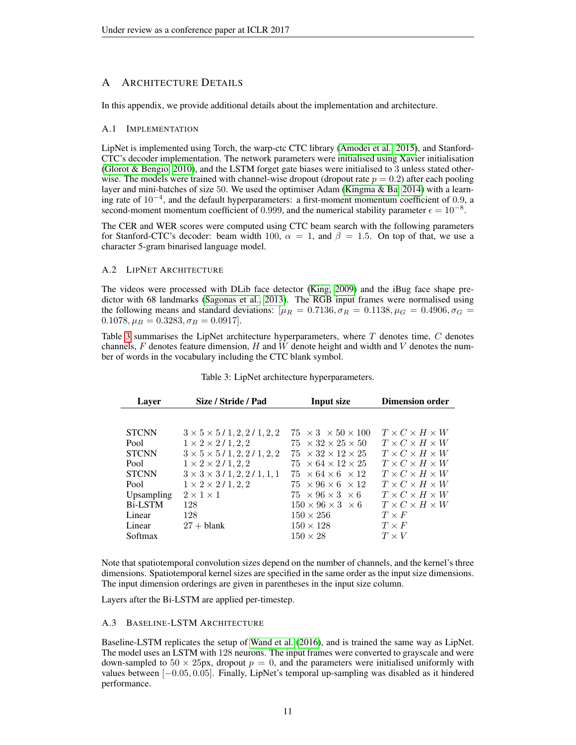# <span id="page-10-1"></span>A ARCHITECTURE DETAILS

In this appendix, we provide additional details about the implementation and architecture.

#### A.1 IMPLEMENTATION

LipNet is implemented using Torch, the warp-ctc CTC library [\(Amodei et al., 2015\)](#page-8-12), and Stanford-CTC's decoder implementation. The network parameters were initialised using Xavier initialisation (Glorot  $\&$  Bengio, 2010), and the LSTM forget gate biases were initialised to 3 unless stated otherwise. The models were trained with channel-wise dropout (dropout rate  $p = 0.2$ ) after each pooling layer and mini-batches of size 50. We used the optimiser Adam [\(Kingma & Ba, 2014\)](#page-8-24) with a learning rate of 10−<sup>4</sup> , and the default hyperparameters: a first-moment momentum coefficient of 0.9, a second-moment momentum coefficient of 0.999, and the numerical stability parameter  $\epsilon = 10^{-8}$ .

The CER and WER scores were computed using CTC beam search with the following parameters for Stanford-CTC's decoder: beam width 100,  $\alpha = 1$ , and  $\beta = 1.5$ . On top of that, we use a character 5-gram binarised language model.

#### A.2 LIPNET ARCHITECTURE

The videos were processed with DLib face detector [\(King, 2009\)](#page-8-25) and the iBug face shape predictor with 68 landmarks [\(Sagonas et al., 2013\)](#page-9-20). The RGB input frames were normalised using the following means and standard deviations: [ $\mu_R = 0.7136$ ,  $\sigma_R = 0.1138$ ,  $\mu_G = 0.4906$ ,  $\sigma_G =$  $0.1078, \mu_B = 0.3283, \sigma_B = 0.0917$ .

Table [3](#page-10-0) summarises the LipNet architecture hyperparameters, where  $T$  denotes time,  $C$  denotes channels,  $F$  denotes feature dimension,  $H$  and  $W$  denote height and width and  $V$  denotes the number of words in the vocabulary including the CTC blank symbol.

<span id="page-10-0"></span>

| Layer          | Size / Stride / Pad                       | <b>Input size</b>                  | <b>Dimension order</b>         |
|----------------|-------------------------------------------|------------------------------------|--------------------------------|
|                |                                           |                                    |                                |
| <b>STCNN</b>   | $3 \times 5 \times 5 / 1, 2, 2 / 1, 2, 2$ | $75 \times 3 \times 50 \times 100$ | $T \times C \times H \times W$ |
| Pool           | $1 \times 2 \times 2 / 1, 2, 2$           | $75 \times 32 \times 25 \times 50$ | $T \times C \times H \times W$ |
| <b>STCNN</b>   | $3 \times 5 \times 5 / 1, 2, 2 / 1, 2, 2$ | $75 \times 32 \times 12 \times 25$ | $T \times C \times H \times W$ |
| Pool           | $1 \times 2 \times 2 / 1, 2, 2$           | $75 \times 64 \times 12 \times 25$ | $T \times C \times H \times W$ |
| <b>STCNN</b>   | $3 \times 3 \times 3 / 1, 2, 2 / 1, 1, 1$ | $75 \times 64 \times 6 \times 12$  | $T \times C \times H \times W$ |
| Pool           | $1 \times 2 \times 2 / 1, 2, 2$           | $75 \times 96 \times 6 \times 12$  | $T \times C \times H \times W$ |
| Upsampling     | $2 \times 1 \times 1$                     | $75 \times 96 \times 3 \times 6$   | $T \times C \times H \times W$ |
| <b>Bi-LSTM</b> | 128                                       | $150 \times 96 \times 3 \times 6$  | $T \times C \times H \times W$ |
| Linear         | 128                                       | $150 \times 256$                   | $T \times F$                   |
| Linear         | $27 + blank$                              | $150 \times 128$                   | $T \times F$                   |
| Softmax        |                                           | $150 \times 28$                    | $T \times V$                   |

### Table 3: LipNet architecture hyperparameters.

Note that spatiotemporal convolution sizes depend on the number of channels, and the kernel's three dimensions. Spatiotemporal kernel sizes are specified in the same order as the input size dimensions. The input dimension orderings are given in parentheses in the input size column.

Layers after the Bi-LSTM are applied per-timestep.

#### A.3 BASELINE-LSTM ARCHITECTURE

Baseline-LSTM replicates the setup of [Wand et al.](#page-9-0) [\(2016\)](#page-9-0), and is trained the same way as LipNet. The model uses an LSTM with 128 neurons. The input frames were converted to grayscale and were down-sampled to  $50 \times 25px$ , dropout  $p = 0$ , and the parameters were initialised uniformly with values between [−0.05, 0.05]. Finally, LipNet's temporal up-sampling was disabled as it hindered performance.